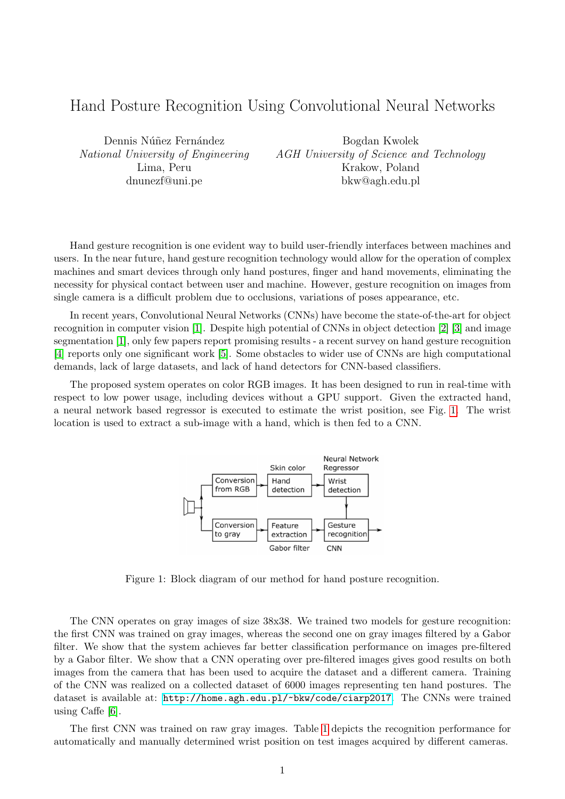## Hand Posture Recognition Using Convolutional Neural Networks

Dennis Núñez Fernández National University of Engineering Lima, Peru dnunezf@uni.pe

Bogdan Kwolek AGH University of Science and Technology Krakow, Poland bkw@agh.edu.pl

Hand gesture recognition is one evident way to build user-friendly interfaces between machines and users. In the near future, hand gesture recognition technology would allow for the operation of complex machines and smart devices through only hand postures, finger and hand movements, eliminating the necessity for physical contact between user and machine. However, gesture recognition on images from single camera is a difficult problem due to occlusions, variations of poses appearance, etc.

In recent years, Convolutional Neural Networks (CNNs) have become the state-of-the-art for object recognition in computer vision [\[1\]](#page-1-0). Despite high potential of CNNs in object detection [\[2\]](#page-1-1) [\[3\]](#page-1-2) and image segmentation [\[1\]](#page-1-0), only few papers report promising results - a recent survey on hand gesture recognition [\[4\]](#page-1-3) reports only one significant work [\[5\]](#page-1-4). Some obstacles to wider use of CNNs are high computational demands, lack of large datasets, and lack of hand detectors for CNN-based classifiers.

The proposed system operates on color RGB images. It has been designed to run in real-time with respect to low power usage, including devices without a GPU support. Given the extracted hand, a neural network based regressor is executed to estimate the wrist position, see Fig. [1.](#page-0-0) The wrist location is used to extract a sub-image with a hand, which is then fed to a CNN.



Figure 1: Block diagram of our method for hand posture recognition.

<span id="page-0-0"></span>The CNN operates on gray images of size 38x38. We trained two models for gesture recognition: the first CNN was trained on gray images, whereas the second one on gray images filtered by a Gabor filter. We show that the system achieves far better classification performance on images pre-filtered by a Gabor filter. We show that a CNN operating over pre-filtered images gives good results on both images from the camera that has been used to acquire the dataset and a different camera. Training of the CNN was realized on a collected dataset of 6000 images representing ten hand postures. The dataset is available at: <http://home.agh.edu.pl/~bkw/code/ciarp2017>. The CNNs were trained using Caffe [\[6\]](#page-1-5).

The first CNN was trained on raw gray images. Table [1](#page-1-6) depicts the recognition performance for automatically and manually determined wrist position on test images acquired by different cameras.